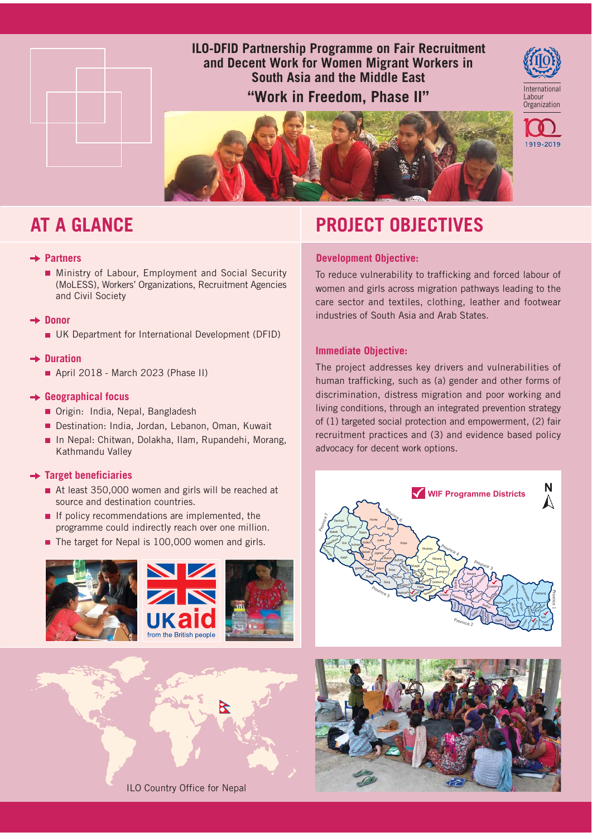

## **ILO-DFID Partnership Programme on Fair Recruitment** and Decent Work for Women Migrant Workers in South Asia and the Middle East

"Work in Freedom, Phase II"



1919-2019



# **AT A GLANCE**

#### $\rightarrow$  Partners

Ministry of Labour, Employment and Social Security (MoLESS), Workers' Organizations, Recruitment Agencies and Civil Society

#### $\rightarrow$  Donor

UK Department for International Development (DFID)

#### $\rightarrow$  Duration

April 2018 - March 2023 (Phase II)

### $\rightarrow$  Geographical focus

- Origin: India, Nepal, Bangladesh
- Destination: India, Jordan, Lebanon, Oman, Kuwait
- In Nepal: Chitwan, Dolakha, Ilam, Rupandehi, Morang, Kathmandu Valley

### $\rightarrow$  Target beneficiaries

- At least 350,000 women and girls will be reached at source and destination countries.
- If policy recommendations are implemented, the programme could indirectly reach over one million.
- The target for Nepal is 100,000 women and girls.





# **PROJECT OBJECTIVES**

### **Development Objective:**

To reduce vulnerability to trafficking and forced labour of women and girls across migration pathways leading to the care sector and textiles, clothing, leather and footwear industries of South Asia and Arab States.

### **Immediate Objective:**

The project addresses key drivers and vulnerabilities of human trafficking, such as (a) gender and other forms of discrimination, distress migration and poor working and living conditions, through an integrated prevention strategy of (1) targeted social protection and empowerment, (2) fair recruitment practices and (3) and evidence based policy advocacy for decent work options.